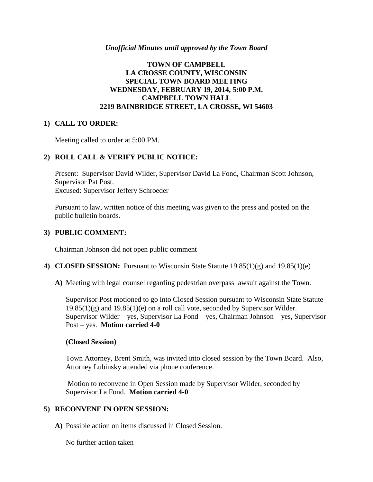#### *Unofficial Minutes until approved by the Town Board*

## **TOWN OF CAMPBELL LA CROSSE COUNTY, WISCONSIN SPECIAL TOWN BOARD MEETING WEDNESDAY, FEBRUARY 19, 2014, 5:00 P.M. CAMPBELL TOWN HALL 2219 BAINBRIDGE STREET, LA CROSSE, WI 54603**

## **1) CALL TO ORDER:**

Meeting called to order at 5:00 PM.

## **2) ROLL CALL & VERIFY PUBLIC NOTICE:**

Present: Supervisor David Wilder, Supervisor David La Fond, Chairman Scott Johnson, Supervisor Pat Post. Excused: Supervisor Jeffery Schroeder

Pursuant to law, written notice of this meeting was given to the press and posted on the public bulletin boards.

### **3) PUBLIC COMMENT:**

Chairman Johnson did not open public comment

- **4) CLOSED SESSION:** Pursuant to Wisconsin State Statute 19.85(1)(g) and 19.85(1)(e)
	- **A)** Meeting with legal counsel regarding pedestrian overpass lawsuit against the Town.

Supervisor Post motioned to go into Closed Session pursuant to Wisconsin State Statute  $19.85(1)(g)$  and  $19.85(1)(e)$  on a roll call vote, seconded by Supervisor Wilder. Supervisor Wilder – yes, Supervisor La Fond – yes, Chairman Johnson – yes, Supervisor Post – yes. **Motion carried 4-0**

#### **(Closed Session)**

Town Attorney, Brent Smith, was invited into closed session by the Town Board. Also, Attorney Lubinsky attended via phone conference.

Motion to reconvene in Open Session made by Supervisor Wilder, seconded by Supervisor La Fond. **Motion carried 4-0**

## **5) RECONVENE IN OPEN SESSION:**

**A)** Possible action on items discussed in Closed Session.

No further action taken